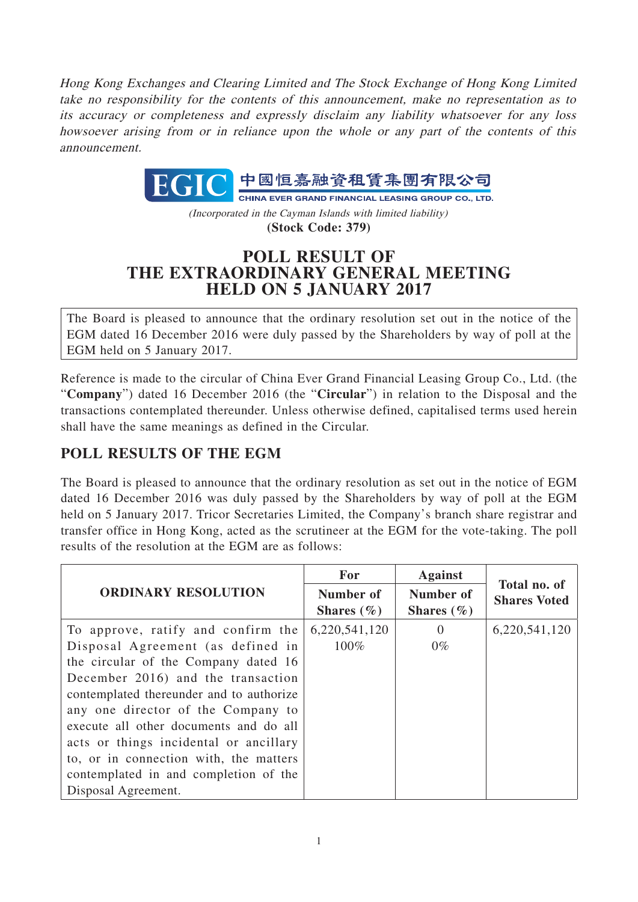Hong Kong Exchanges and Clearing Limited and The Stock Exchange of Hong Kong Limited take no responsibility for the contents of this announcement, make no representation as to its accuracy or completeness and expressly disclaim any liability whatsoever for any loss howsoever arising from or in reliance upon the whole or any part of the contents of this announcement.

> 中國恒嘉融資租賃集團有限公司 EGIC **CHINA EVER GRAND FINANCIAL LEASING GROUP CO., LTD.**

(Incorporated in the Cayman Islands with limited liability) **(Stock Code: 379)**

## **POLL RESULT OF THE EXTRAORDINARY GENERAL MEETING HELD ON 5 JANUARY 2017**

The Board is pleased to announce that the ordinary resolution set out in the notice of the EGM dated 16 December 2016 were duly passed by the Shareholders by way of poll at the EGM held on 5 January 2017.

Reference is made to the circular of China Ever Grand Financial Leasing Group Co., Ltd. (the "**Company**") dated 16 December 2016 (the "**Circular**") in relation to the Disposal and the transactions contemplated thereunder. Unless otherwise defined, capitalised terms used herein shall have the same meanings as defined in the Circular.

## **POLL RESULTS OF THE EGM**

The Board is pleased to announce that the ordinary resolution as set out in the notice of EGM dated 16 December 2016 was duly passed by the Shareholders by way of poll at the EGM held on 5 January 2017. Tricor Secretaries Limited, the Company's branch share registrar and transfer office in Hong Kong, acted as the scrutineer at the EGM for the vote-taking. The poll results of the resolution at the EGM are as follows:

| <b>ORDINARY RESOLUTION</b>               | For                         | <b>Against</b>              | Total no. of<br><b>Shares Voted</b> |
|------------------------------------------|-----------------------------|-----------------------------|-------------------------------------|
|                                          | Number of<br>Shares $(\% )$ | Number of<br>Shares $(\% )$ |                                     |
| To approve, ratify and confirm the       | 6,220,541,120               | $\Omega$                    | 6,220,541,120                       |
| Disposal Agreement (as defined in        | $100\%$                     | $0\%$                       |                                     |
| the circular of the Company dated 16     |                             |                             |                                     |
| December 2016) and the transaction       |                             |                             |                                     |
| contemplated thereunder and to authorize |                             |                             |                                     |
| any one director of the Company to       |                             |                             |                                     |
| execute all other documents and do all   |                             |                             |                                     |
| acts or things incidental or ancillary   |                             |                             |                                     |
| to, or in connection with, the matters   |                             |                             |                                     |
| contemplated in and completion of the    |                             |                             |                                     |
| Disposal Agreement.                      |                             |                             |                                     |